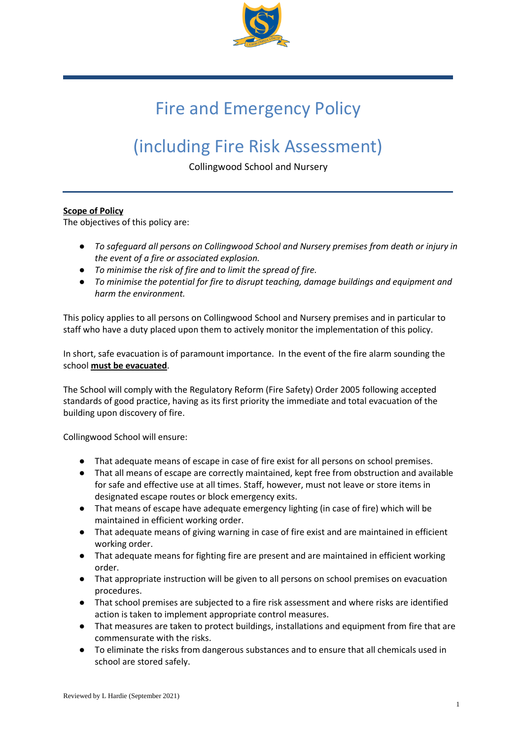

# Fire and Emergency Policy

# (including Fire Risk Assessment)

Collingwood School and Nursery

## **Scope of Policy**

The objectives of this policy are:

- *To safeguard all persons on Collingwood School and Nursery premises from death or injury in the event of a fire or associated explosion.*
- *To minimise the risk of fire and to limit the spread of fire.*
- *To minimise the potential for fire to disrupt teaching, damage buildings and equipment and harm the environment.*

This policy applies to all persons on Collingwood School and Nursery premises and in particular to staff who have a duty placed upon them to actively monitor the implementation of this policy.

In short, safe evacuation is of paramount importance. In the event of the fire alarm sounding the school **must be evacuated**.

The School will comply with the Regulatory Reform (Fire Safety) Order 2005 following accepted standards of good practice, having as its first priority the immediate and total evacuation of the building upon discovery of fire.

Collingwood School will ensure:

- That adequate means of escape in case of fire exist for all persons on school premises.
- That all means of escape are correctly maintained, kept free from obstruction and available for safe and effective use at all times. Staff, however, must not leave or store items in designated escape routes or block emergency exits.
- That means of escape have adequate emergency lighting (in case of fire) which will be maintained in efficient working order.
- That adequate means of giving warning in case of fire exist and are maintained in efficient working order.
- That adequate means for fighting fire are present and are maintained in efficient working order.
- That appropriate instruction will be given to all persons on school premises on evacuation procedures.
- That school premises are subjected to a fire risk assessment and where risks are identified action is taken to implement appropriate control measures.
- That measures are taken to protect buildings, installations and equipment from fire that are commensurate with the risks.
- To eliminate the risks from dangerous substances and to ensure that all chemicals used in school are stored safely.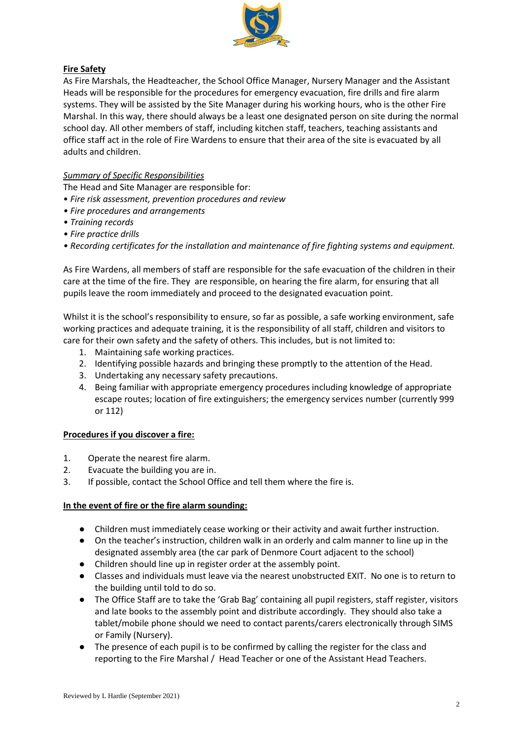

# **Fire Safety**

As Fire Marshals, the Headteacher, the School Office Manager, Nursery Manager and the Assistant Heads will be responsible for the procedures for emergency evacuation, fire drills and fire alarm systems. They will be assisted by the Site Manager during his working hours, who is the other Fire Marshal. In this way, there should always be a least one designated person on site during the normal school day. All other members of staff, including kitchen staff, teachers, teaching assistants and office staff act in the role of Fire Wardens to ensure that their area of the site is evacuated by all adults and children.

# *Summary of Specific Responsibilities*

The Head and Site Manager are responsible for:

- *Fire risk assessment, prevention procedures and review*
- *Fire procedures and arrangements*
- *Training records*
- *Fire practice drills*
- *Recording certificates for the installation and maintenance of fire fighting systems and equipment.*

As Fire Wardens, all members of staff are responsible for the safe evacuation of the children in their care at the time of the fire. They are responsible, on hearing the fire alarm, for ensuring that all pupils leave the room immediately and proceed to the designated evacuation point.

Whilst it is the school's responsibility to ensure, so far as possible, a safe working environment, safe working practices and adequate training, it is the responsibility of all staff, children and visitors to care for their own safety and the safety of others. This includes, but is not limited to:

- 1. Maintaining safe working practices.
- 2. Identifying possible hazards and bringing these promptly to the attention of the Head.
- 3. Undertaking any necessary safety precautions.
- 4. Being familiar with appropriate emergency procedures including knowledge of appropriate escape routes; location of fire extinguishers; the emergency services number (currently 999 or 112)

## **Procedures if you discover a fire:**

- 1. Operate the nearest fire alarm.
- 2. Evacuate the building you are in.
- 3. If possible, contact the School Office and tell them where the fire is.

### **In the event of fire or the fire alarm sounding:**

- Children must immediately cease working or their activity and await further instruction.
- On the teacher's instruction, children walk in an orderly and calm manner to line up in the designated assembly area (the car park of Denmore Court adjacent to the school)
- Children should line up in register order at the assembly point.
- Classes and individuals must leave via the nearest unobstructed EXIT. No one is to return to the building until told to do so.
- The Office Staff are to take the 'Grab Bag' containing all pupil registers, staff register, visitors and late books to the assembly point and distribute accordingly. They should also take a tablet/mobile phone should we need to contact parents/carers electronically through SIMS or Family (Nursery).
- The presence of each pupil is to be confirmed by calling the register for the class and reporting to the Fire Marshal / Head Teacher or one of the Assistant Head Teachers.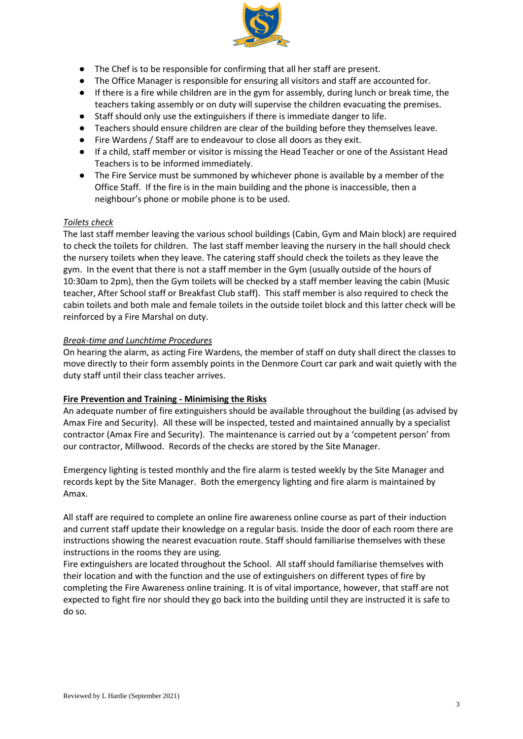

- The Chef is to be responsible for confirming that all her staff are present.
- The Office Manager is responsible for ensuring all visitors and staff are accounted for.
- If there is a fire while children are in the gym for assembly, during lunch or break time, the teachers taking assembly or on duty will supervise the children evacuating the premises.
- Staff should only use the extinguishers if there is immediate danger to life.
- Teachers should ensure children are clear of the building before they themselves leave.
- Fire Wardens / Staff are to endeavour to close all doors as they exit.
- If a child, staff member or visitor is missing the Head Teacher or one of the Assistant Head Teachers is to be informed immediately.
- The Fire Service must be summoned by whichever phone is available by a member of the Office Staff. If the fire is in the main building and the phone is inaccessible, then a neighbour's phone or mobile phone is to be used.

## *Toilets check*

The last staff member leaving the various school buildings (Cabin, Gym and Main block) are required to check the toilets for children. The last staff member leaving the nursery in the hall should check the nursery toilets when they leave. The catering staff should check the toilets as they leave the gym. In the event that there is not a staff member in the Gym (usually outside of the hours of 10:30am to 2pm), then the Gym toilets will be checked by a staff member leaving the cabin (Music teacher, After School staff or Breakfast Club staff). This staff member is also required to check the cabin toilets and both male and female toilets in the outside toilet block and this latter check will be reinforced by a Fire Marshal on duty.

## *Break-time and Lunchtime Procedures*

On hearing the alarm, as acting Fire Wardens, the member of staff on duty shall direct the classes to move directly to their form assembly points in the Denmore Court car park and wait quietly with the duty staff until their class teacher arrives.

## **Fire Prevention and Training - Minimising the Risks**

An adequate number of fire extinguishers should be available throughout the building (as advised by Amax Fire and Security). All these will be inspected, tested and maintained annually by a specialist contractor (Amax Fire and Security). The maintenance is carried out by a 'competent person' from our contractor, Millwood. Records of the checks are stored by the Site Manager.

Emergency lighting is tested monthly and the fire alarm is tested weekly by the Site Manager and records kept by the Site Manager. Both the emergency lighting and fire alarm is maintained by Amax.

All staff are required to complete an online fire awareness online course as part of their induction and current staff update their knowledge on a regular basis. Inside the door of each room there are instructions showing the nearest evacuation route. Staff should familiarise themselves with these instructions in the rooms they are using.

Fire extinguishers are located throughout the School. All staff should familiarise themselves with their location and with the function and the use of extinguishers on different types of fire by completing the Fire Awareness online training. It is of vital importance, however, that staff are not expected to fight fire nor should they go back into the building until they are instructed it is safe to do so.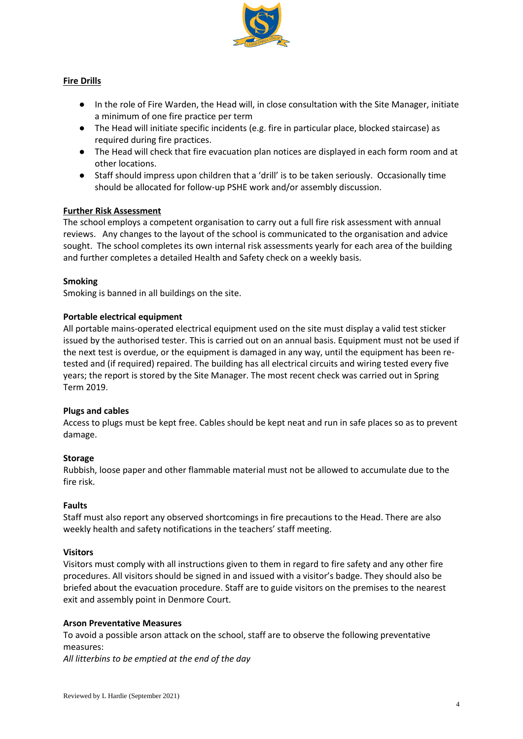

## **Fire Drills**

- In the role of Fire Warden, the Head will, in close consultation with the Site Manager, initiate a minimum of one fire practice per term
- The Head will initiate specific incidents (e.g. fire in particular place, blocked staircase) as required during fire practices.
- The Head will check that fire evacuation plan notices are displayed in each form room and at other locations.
- Staff should impress upon children that a 'drill' is to be taken seriously. Occasionally time should be allocated for follow-up PSHE work and/or assembly discussion.

### **Further Risk Assessment**

The school employs a competent organisation to carry out a full fire risk assessment with annual reviews. Any changes to the layout of the school is communicated to the organisation and advice sought. The school completes its own internal risk assessments yearly for each area of the building and further completes a detailed Health and Safety check on a weekly basis.

#### **Smoking**

Smoking is banned in all buildings on the site.

#### **Portable electrical equipment**

All portable mains-operated electrical equipment used on the site must display a valid test sticker issued by the authorised tester. This is carried out on an annual basis. Equipment must not be used if the next test is overdue, or the equipment is damaged in any way, until the equipment has been retested and (if required) repaired. The building has all electrical circuits and wiring tested every five years; the report is stored by the Site Manager. The most recent check was carried out in Spring Term 2019.

#### **Plugs and cables**

Access to plugs must be kept free. Cables should be kept neat and run in safe places so as to prevent damage.

#### **Storage**

Rubbish, loose paper and other flammable material must not be allowed to accumulate due to the fire risk.

#### **Faults**

Staff must also report any observed shortcomings in fire precautions to the Head. There are also weekly health and safety notifications in the teachers' staff meeting.

#### **Visitors**

Visitors must comply with all instructions given to them in regard to fire safety and any other fire procedures. All visitors should be signed in and issued with a visitor's badge. They should also be briefed about the evacuation procedure. Staff are to guide visitors on the premises to the nearest exit and assembly point in Denmore Court.

#### **Arson Preventative Measures**

To avoid a possible arson attack on the school, staff are to observe the following preventative measures:

*All litterbins to be emptied at the end of the day*